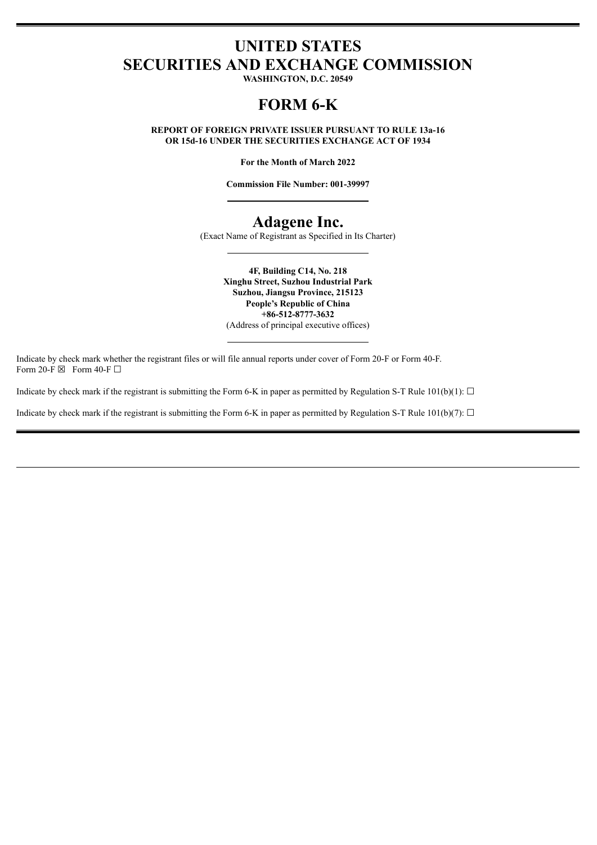### **UNITED STATES SECURITIES AND EXCHANGE COMMISSION**

**WASHINGTON, D.C. 20549**

### **FORM 6-K**

**REPORT OF FOREIGN PRIVATE ISSUER PURSUANT TO RULE 13a-16 OR 15d-16 UNDER THE SECURITIES EXCHANGE ACT OF 1934**

**For the Month of March 2022**

**Commission File Number: 001-39997**

### **Adagene Inc.**

(Exact Name of Registrant as Specified in Its Charter)

**4F, Building C14, No. 218 Xinghu Street, Suzhou Industrial Park Suzhou, Jiangsu Province, 215123 People's Republic of China +86-512-8777-3632** (Address of principal executive offices)

Indicate by check mark whether the registrant files or will file annual reports under cover of Form 20-F or Form 40-F. Form 20-F  $\boxtimes$  Form 40-F  $\Box$ 

Indicate by check mark if the registrant is submitting the Form 6-K in paper as permitted by Regulation S-T Rule 101(b)(1):  $\Box$ 

Indicate by check mark if the registrant is submitting the Form 6-K in paper as permitted by Regulation S-T Rule 101(b)(7):  $\Box$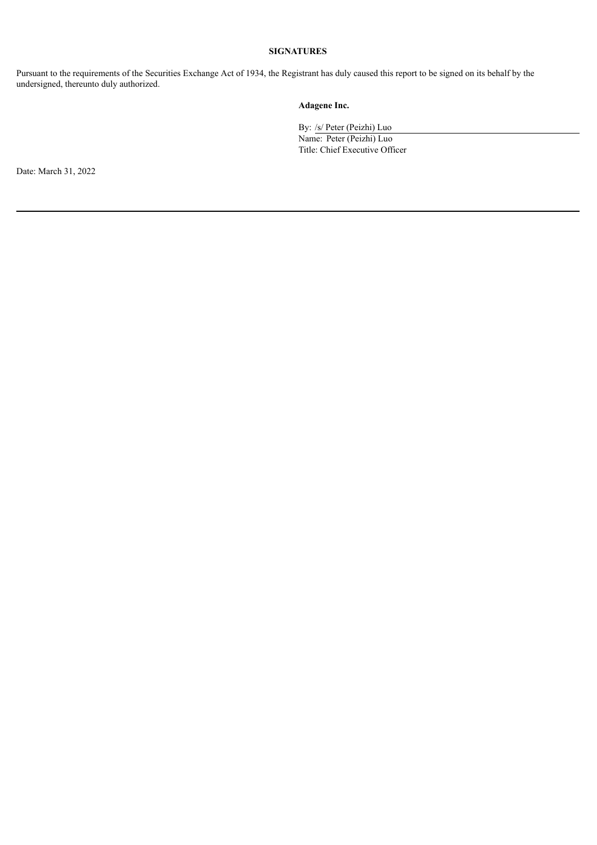### **SIGNATURES**

Pursuant to the requirements of the Securities Exchange Act of 1934, the Registrant has duly caused this report to be signed on its behalf by the undersigned, thereunto duly authorized.

### **Adagene Inc.**

By: /s/ Peter (Peizhi) Luo

Name: Peter (Peizhi) Luo Title: Chief Executive Officer

Date: March 31, 2022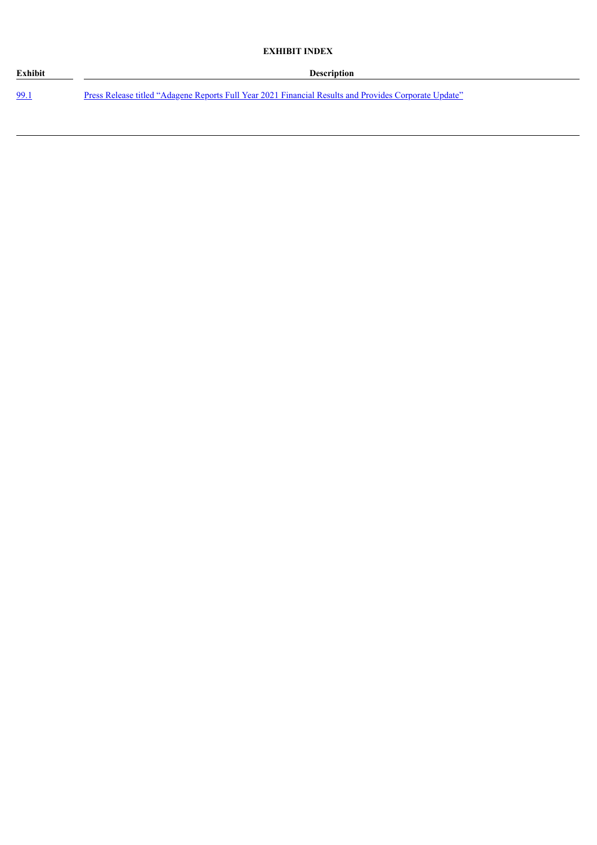### **EXHIBIT INDEX**

| Exhibit | <b>Description</b>                                                                                    |
|---------|-------------------------------------------------------------------------------------------------------|
| - 99.   | Press Release titled "Adagene Reports Full Year 2021 Financial Results and Provides Corporate Update" |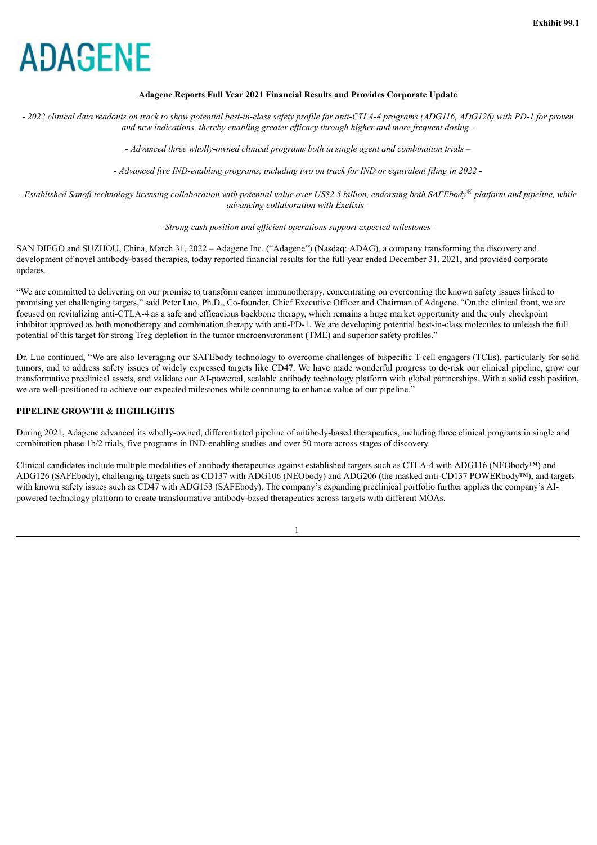#### **Adagene Reports Full Year 2021 Financial Results and Provides Corporate Update**

<span id="page-3-0"></span>- 2022 clinical data readouts on track to show potential best-in-class safety profile for anti-CTLA-4 programs (ADG116, ADG126) with PD-1 for proven *and new indications, thereby enabling greater ef icacy through higher and more frequent dosing -*

*- Advanced three wholly-owned clinical programs both in single agent and combination trials –*

*- Advanced five IND-enabling programs, including two on track for IND or equivalent filing in 2022 -*

- Established Sanofi technology licensing collaboration with potential value over US\$2.5 billion, endorsing both SAFEbody® platform and pipeline, while *advancing collaboration with Exelixis -*

#### *- Strong cash position and ef icient operations support expected milestones -*

SAN DIEGO and SUZHOU, China, March 31, 2022 – Adagene Inc. ("Adagene") (Nasdaq: ADAG), a company transforming the discovery and development of novel antibody-based therapies, today reported financial results for the full-year ended December 31, 2021, and provided corporate updates.

"We are committed to delivering on our promise to transform cancer immunotherapy, concentrating on overcoming the known safety issues linked to promising yet challenging targets," said Peter Luo, Ph.D., Co-founder, Chief Executive Officer and Chairman of Adagene. "On the clinical front, we are focused on revitalizing anti-CTLA-4 as a safe and efficacious backbone therapy, which remains a huge market opportunity and the only checkpoint inhibitor approved as both monotherapy and combination therapy with anti-PD-1. We are developing potential best-in-class molecules to unleash the full potential of this target for strong Treg depletion in the tumor microenvironment (TME) and superior safety profiles."

Dr. Luo continued, "We are also leveraging our SAFEbody technology to overcome challenges of bispecific T-cell engagers (TCEs), particularly for solid tumors, and to address safety issues of widely expressed targets like CD47. We have made wonderful progress to de-risk our clinical pipeline, grow our transformative preclinical assets, and validate our AI-powered, scalable antibody technology platform with global partnerships. With a solid cash position, we are well-positioned to achieve our expected milestones while continuing to enhance value of our pipeline."

#### **PIPELINE GROWTH & HIGHLIGHTS**

During 2021, Adagene advanced its wholly-owned, differentiated pipeline of antibody-based therapeutics, including three clinical programs in single and combination phase 1b/2 trials, five programs in IND-enabling studies and over 50 more across stages of discovery.

Clinical candidates include multiple modalities of antibody therapeutics against established targets such as CTLA-4 with ADG116 (NEObody™) and ADG126 (SAFEbody), challenging targets such as CD137 with ADG106 (NEObody) and ADG206 (the masked anti-CD137 POWERbody™), and targets with known safety issues such as CD47 with ADG153 (SAFEbody). The company's expanding preclinical portfolio further applies the company's AIpowered technology platform to create transformative antibody-based therapeutics across targets with different MOAs.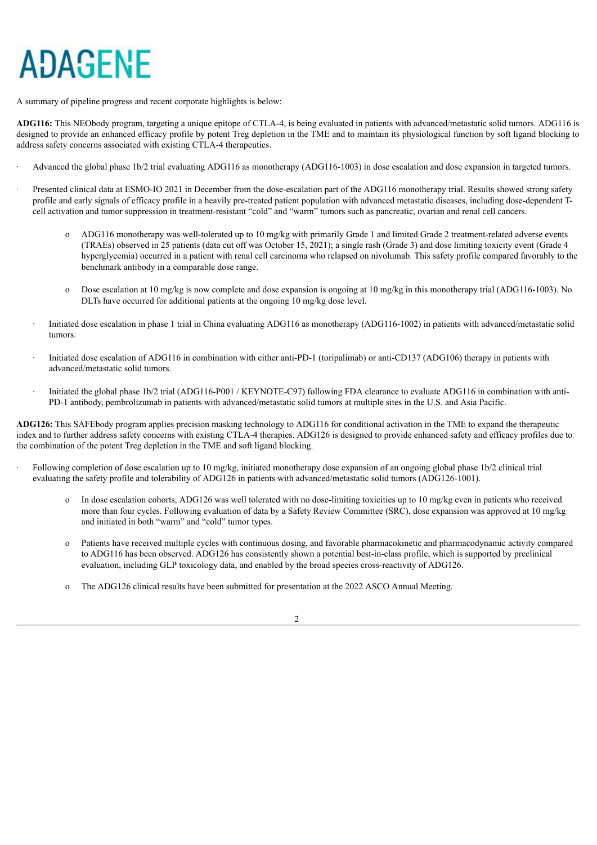A summary of pipeline progress and recent corporate highlights is below:

**ADG116:** This NEObody program, targeting a unique epitope of CTLA-4, is being evaluated in patients with advanced/metastatic solid tumors. ADG116 is designed to provide an enhanced efficacy profile by potent Treg depletion in the TME and to maintain its physiological function by soft ligand blocking to address safety concerns associated with existing CTLA-4 therapeutics.

- · Advanced the global phase 1b/2 trial evaluating ADG116 as monotherapy (ADG116-1003) in dose escalation and dose expansion in targeted tumors.
- · Presented clinical data at ESMO-IO 2021 in December from the dose-escalation part of the ADG116 monotherapy trial. Results showed strong safety profile and early signals of efficacy profile in a heavily pre-treated patient population with advanced metastatic diseases, including dose-dependent Tcell activation and tumor suppression in treatment-resistant "cold" and "warm" tumors such as pancreatic, ovarian and renal cell cancers.
	- o ADG116 monotherapy was well-tolerated up to 10 mg/kg with primarily Grade 1 and limited Grade 2 treatment-related adverse events (TRAEs) observed in 25 patients (data cut off was October 15, 2021); a single rash (Grade 3) and dose limiting toxicity event (Grade 4 hyperglycemia) occurred in a patient with renal cell carcinoma who relapsed on nivolumab. This safety profile compared favorably to the benchmark antibody in a comparable dose range.
	- Dose escalation at 10 mg/kg is now complete and dose expansion is ongoing at 10 mg/kg in this monotherapy trial (ADG116-1003). No DLTs have occurred for additional patients at the ongoing 10 mg/kg dose level.
	- · Initiated dose escalation in phase 1 trial in China evaluating ADG116 as monotherapy (ADG116-1002) in patients with advanced/metastatic solid tumors.
	- Initiated dose escalation of ADG116 in combination with either anti-PD-1 (toripalimab) or anti-CD137 (ADG106) therapy in patients with advanced/metastatic solid tumors.
	- Initiated the global phase 1b/2 trial (ADG116-P001 / KEYNOTE-C97) following FDA clearance to evaluate ADG116 in combination with anti-PD-1 antibody, pembrolizumab in patients with advanced/metastatic solid tumors at multiple sites in the U.S. and Asia Pacific.

**ADG126:** This SAFEbody program applies precision masking technology to ADG116 for conditional activation in the TME to expand the therapeutic index and to further address safety concerns with existing CTLA-4 therapies. ADG126 is designed to provide enhanced safety and efficacy profiles due to the combination of the potent Treg depletion in the TME and soft ligand blocking.

- · Following completion of dose escalation up to 10 mg/kg, initiated monotherapy dose expansion of an ongoing global phase 1b/2 clinical trial evaluating the safety profile and tolerability of ADG126 in patients with advanced/metastatic solid tumors (ADG126-1001).
	- o In dose escalation cohorts, ADG126 was well tolerated with no dose-limiting toxicities up to 10 mg/kg even in patients who received more than four cycles. Following evaluation of data by a Safety Review Committee (SRC), dose expansion was approved at 10 mg/kg and initiated in both "warm" and "cold" tumor types.
	- Patients have received multiple cycles with continuous dosing, and favorable pharmacokinetic and pharmacodynamic activity compared to ADG116 has been observed. ADG126 has consistently shown a potential best-in-class profile, which is supported by preclinical evaluation, including GLP toxicology data, and enabled by the broad species cross-reactivity of ADG126.
	- o The ADG126 clinical results have been submitted for presentation at the 2022 ASCO Annual Meeting.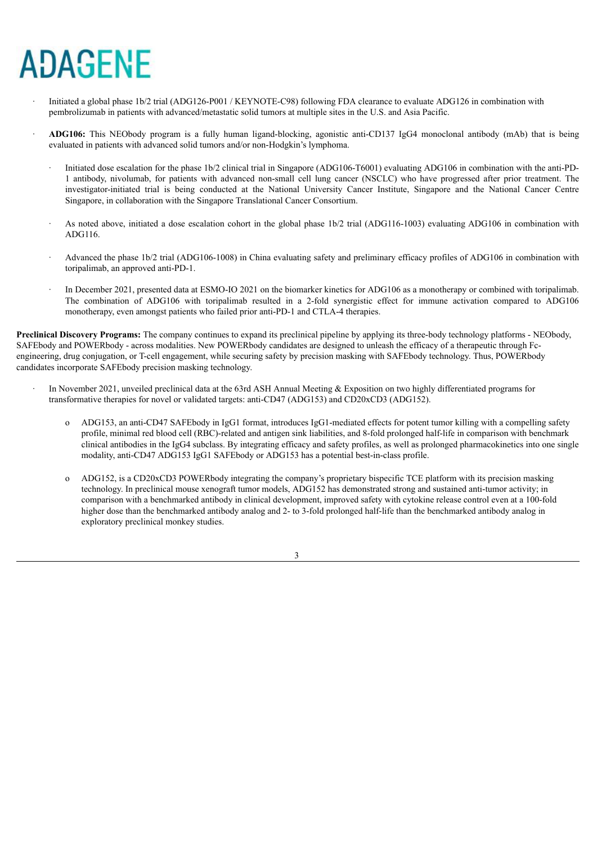- · Initiated a global phase 1b/2 trial (ADG126-P001 / KEYNOTE-C98) following FDA clearance to evaluate ADG126 in combination with pembrolizumab in patients with advanced/metastatic solid tumors at multiple sites in the U.S. and Asia Pacific.
- · **ADG106:** This NEObody program is a fully human ligand-blocking, agonistic anti-CD137 IgG4 monoclonal antibody (mAb) that is being evaluated in patients with advanced solid tumors and/or non-Hodgkin's lymphoma.
	- · Initiated dose escalation for the phase 1b/2 clinical trial in Singapore (ADG106-T6001) evaluating ADG106 in combination with the anti-PD-1 antibody, nivolumab, for patients with advanced non-small cell lung cancer (NSCLC) who have progressed after prior treatment. The investigator-initiated trial is being conducted at the National University Cancer Institute, Singapore and the National Cancer Centre Singapore, in collaboration with the Singapore Translational Cancer Consortium.
	- · As noted above, initiated a dose escalation cohort in the global phase 1b/2 trial (ADG116-1003) evaluating ADG106 in combination with ADG116.
	- · Advanced the phase 1b/2 trial (ADG106-1008) in China evaluating safety and preliminary efficacy profiles of ADG106 in combination with toripalimab, an approved anti-PD-1.
	- · In December 2021, presented data at ESMO-IO 2021 on the biomarker kinetics for ADG106 as a monotherapy or combined with toripalimab. The combination of ADG106 with toripalimab resulted in a 2-fold synergistic effect for immune activation compared to ADG106 monotherapy, even amongst patients who failed prior anti-PD-1 and CTLA-4 therapies.

**Preclinical Discovery Programs:** The company continues to expand its preclinical pipeline by applying its three-body technology platforms - NEObody, SAFEbody and POWERbody - across modalities. New POWERbody candidates are designed to unleash the efficacy of a therapeutic through Fcengineering, drug conjugation, or T-cell engagement, while securing safety by precision masking with SAFEbody technology. Thus, POWERbody candidates incorporate SAFEbody precision masking technology.

- In November 2021, unveiled preclinical data at the 63rd ASH Annual Meeting & Exposition on two highly differentiated programs for transformative therapies for novel or validated targets: anti-CD47 (ADG153) and CD20xCD3 (ADG152).
	- o ADG153, an anti-CD47 SAFEbody in IgG1 format, introduces IgG1-mediated effects for potent tumor killing with a compelling safety profile, minimal red blood cell (RBC)-related and antigen sink liabilities, and 8-fold prolonged half-life in comparison with benchmark clinical antibodies in the IgG4 subclass. By integrating efficacy and safety profiles, as well as prolonged pharmacokinetics into one single modality, anti-CD47 ADG153 IgG1 SAFEbody or ADG153 has a potential best-in-class profile.
	- o ADG152, is a CD20xCD3 POWERbody integrating the company's proprietary bispecific TCE platform with its precision masking technology. In preclinical mouse xenograft tumor models, ADG152 has demonstrated strong and sustained anti-tumor activity; in comparison with a benchmarked antibody in clinical development, improved safety with cytokine release control even at a 100-fold higher dose than the benchmarked antibody analog and 2- to 3-fold prolonged half-life than the benchmarked antibody analog in exploratory preclinical monkey studies.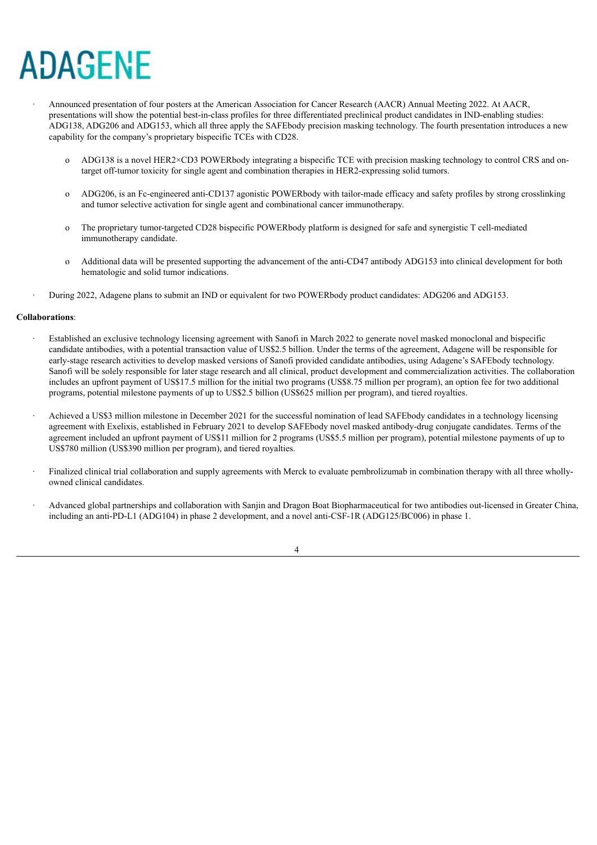- · Announced presentation of four posters at the American Association for Cancer Research (AACR) Annual Meeting 2022. At AACR, presentations will show the potential best-in-class profiles for three differentiated preclinical product candidates in IND-enabling studies: ADG138, ADG206 and ADG153, which all three apply the SAFEbody precision masking technology. The fourth presentation introduces a new capability for the company's proprietary bispecific TCEs with CD28.
	- o ADG138 is a novel HER2×CD3 POWERbody integrating a bispecific TCE with precision masking technology to control CRS and ontarget off-tumor toxicity for single agent and combination therapies in HER2-expressing solid tumors.
	- o ADG206, is an Fc-engineered anti-CD137 agonistic POWERbody with tailor-made efficacy and safety profiles by strong crosslinking and tumor selective activation for single agent and combinational cancer immunotherapy.
	- o The proprietary tumor-targeted CD28 bispecific POWERbody platform is designed for safe and synergistic T cell-mediated immunotherapy candidate.
	- o Additional data will be presented supporting the advancement of the anti-CD47 antibody ADG153 into clinical development for both hematologic and solid tumor indications.
- · During 2022, Adagene plans to submit an IND or equivalent for two POWERbody product candidates: ADG206 and ADG153.

#### **Collaborations**:

- Established an exclusive technology licensing agreement with Sanofi in March 2022 to generate novel masked monoclonal and bispecific candidate antibodies, with a potential transaction value of US\$2.5 billion. Under the terms of the agreement, Adagene will be responsible for early-stage research activities to develop masked versions of Sanofi provided candidate antibodies, using Adagene's SAFEbody technology. Sanofi will be solely responsible for later stage research and all clinical, product development and commercialization activities. The collaboration includes an upfront payment of US\$17.5 million for the initial two programs (US\$8.75 million per program), an option fee for two additional programs, potential milestone payments of up to US\$2.5 billion (US\$625 million per program), and tiered royalties.
- Achieved a US\$3 million milestone in December 2021 for the successful nomination of lead SAFEbody candidates in a technology licensing agreement with Exelixis, established in February 2021 to develop SAFEbody novel masked antibody-drug conjugate candidates. Terms of the agreement included an upfront payment of US\$11 million for 2 programs (US\$5.5 million per program), potential milestone payments of up to US\$780 million (US\$390 million per program), and tiered royalties.
- · Finalized clinical trial collaboration and supply agreements with Merck to evaluate pembrolizumab in combination therapy with all three whollyowned clinical candidates.
- · Advanced global partnerships and collaboration with Sanjin and Dragon Boat Biopharmaceutical for two antibodies out-licensed in Greater China, including an anti-PD-L1 (ADG104) in phase 2 development, and a novel anti-CSF-1R (ADG125/BC006) in phase 1.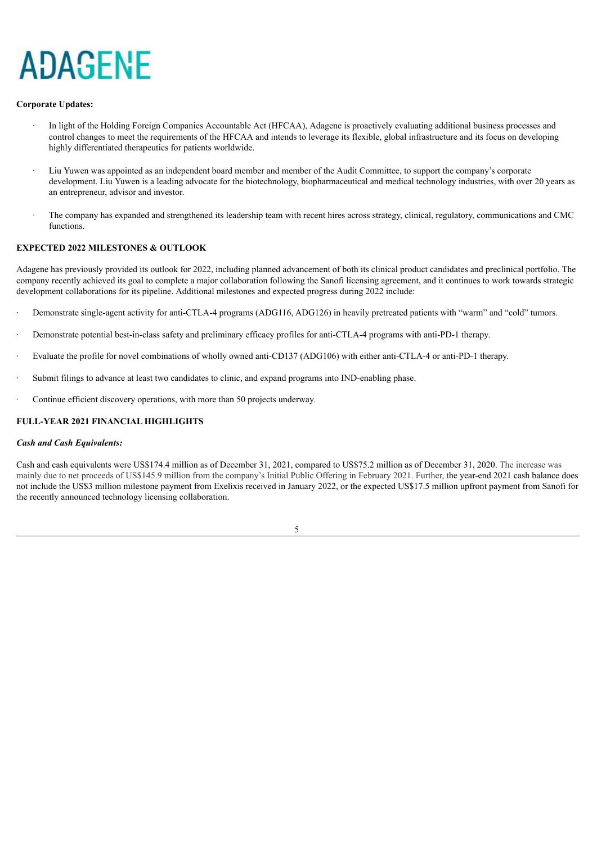#### **Corporate Updates:**

- In light of the Holding Foreign Companies Accountable Act (HFCAA), Adagene is proactively evaluating additional business processes and control changes to meet the requirements of the HFCAA and intends to leverage its flexible, global infrastructure and its focus on developing highly differentiated therapeutics for patients worldwide.
- Liu Yuwen was appointed as an independent board member and member of the Audit Committee, to support the company's corporate development. Liu Yuwen is a leading advocate for the biotechnology, biopharmaceutical and medical technology industries, with over 20 years as an entrepreneur, advisor and investor.
- · The company has expanded and strengthened its leadership team with recent hires across strategy, clinical, regulatory, communications and CMC functions.

### **EXPECTED 2022 MILESTONES & OUTLOOK**

Adagene has previously provided its outlook for 2022, including planned advancement of both its clinical product candidates and preclinical portfolio. The company recently achieved its goal to complete a major collaboration following the Sanofi licensing agreement, and it continues to work towards strategic development collaborations for its pipeline. Additional milestones and expected progress during 2022 include:

- · Demonstrate single-agent activity for anti-CTLA-4 programs (ADG116, ADG126) in heavily pretreated patients with "warm" and "cold" tumors.
- · Demonstrate potential best-in-class safety and preliminary efficacy profiles for anti-CTLA-4 programs with anti-PD-1 therapy.
- · Evaluate the profile for novel combinations of wholly owned anti-CD137 (ADG106) with either anti-CTLA-4 or anti-PD-1 therapy.
- Submit filings to advance at least two candidates to clinic, and expand programs into IND-enabling phase.
- Continue efficient discovery operations, with more than 50 projects underway.

### **FULL-YEAR 2021 FINANCIAL HIGHLIGHTS**

#### *Cash and Cash Equivalents:*

Cash and cash equivalents were US\$174.4 million as of December 31, 2021, compared to US\$75.2 million as of December 31, 2020. The increase was mainly due to net proceeds of US\$145.9 million from the company's Initial Public Offering in February 2021. Further, the year-end 2021 cash balance does not include the US\$3 million milestone payment from Exelixis received in January 2022, or the expected US\$17.5 million upfront payment from Sanofi for the recently announced technology licensing collaboration.

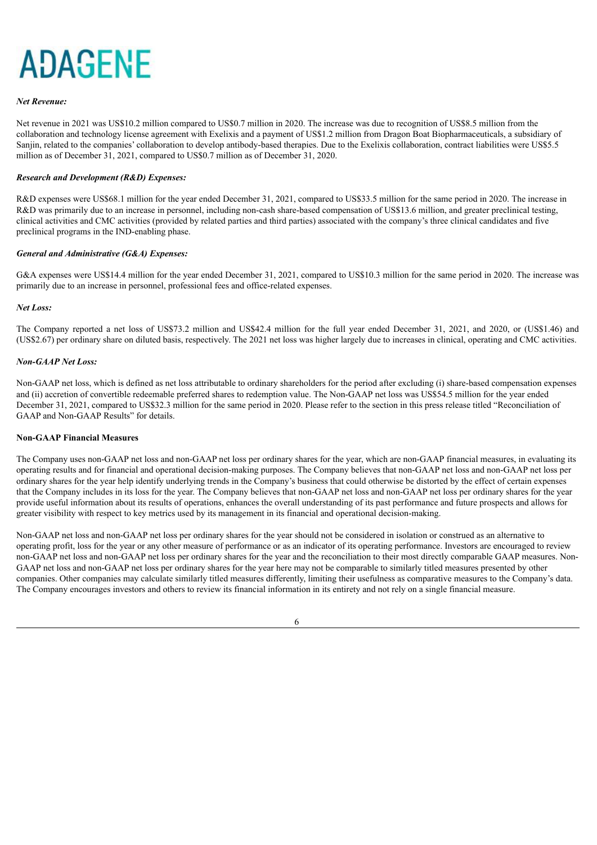#### *Net Revenue:*

Net revenue in 2021 was US\$10.2 million compared to US\$0.7 million in 2020. The increase was due to recognition of US\$8.5 million from the collaboration and technology license agreement with Exelixis and a payment of US\$1.2 million from Dragon Boat Biopharmaceuticals, a subsidiary of Sanjin, related to the companies' collaboration to develop antibody-based therapies. Due to the Exelixis collaboration, contract liabilities were US\$5.5 million as of December 31, 2021, compared to US\$0.7 million as of December 31, 2020.

#### *Research and Development (R&D) Expenses:*

R&D expenses were US\$68.1 million for the year ended December 31, 2021, compared to US\$33.5 million for the same period in 2020. The increase in R&D was primarily due to an increase in personnel, including non-cash share-based compensation of US\$13.6 million, and greater preclinical testing, clinical activities and CMC activities (provided by related parties and third parties) associated with the company's three clinical candidates and five preclinical programs in the IND-enabling phase.

#### *General and Administrative (G&A) Expenses:*

G&A expenses were US\$14.4 million for the year ended December 31, 2021, compared to US\$10.3 million for the same period in 2020. The increase was primarily due to an increase in personnel, professional fees and office-related expenses.

#### *Net Loss:*

The Company reported a net loss of US\$73.2 million and US\$42.4 million for the full year ended December 31, 2021, and 2020, or (US\$1.46) and (US\$2.67) per ordinary share on diluted basis, respectively. The 2021 net loss was higher largely due to increases in clinical, operating and CMC activities.

#### *Non-GAAP Net Loss:*

Non-GAAP net loss, which is defined as net loss attributable to ordinary shareholders for the period after excluding (i) share-based compensation expenses and (ii) accretion of convertible redeemable preferred shares to redemption value. The Non-GAAP net loss was US\$54.5 million for the year ended December 31, 2021, compared to US\$32.3 million for the same period in 2020. Please refer to the section in this press release titled "Reconciliation of GAAP and Non-GAAP Results" for details.

### **Non-GAAP Financial Measures**

The Company uses non-GAAP net loss and non-GAAP net loss per ordinary shares for the year, which are non-GAAP financial measures, in evaluating its operating results and for financial and operational decision-making purposes. The Company believes that non-GAAP net loss and non-GAAP net loss per ordinary shares for the year help identify underlying trends in the Company's business that could otherwise be distorted by the effect of certain expenses that the Company includes in its loss for the year. The Company believes that non-GAAP net loss and non-GAAP net loss per ordinary shares for the year provide useful information about its results of operations, enhances the overall understanding of its past performance and future prospects and allows for greater visibility with respect to key metrics used by its management in its financial and operational decision-making.

Non-GAAP net loss and non-GAAP net loss per ordinary shares for the year should not be considered in isolation or construed as an alternative to operating profit, loss for the year or any other measure of performance or as an indicator of its operating performance. Investors are encouraged to review non-GAAP net loss and non-GAAP net loss per ordinary shares for the year and the reconciliation to their most directly comparable GAAP measures. Non-GAAP net loss and non-GAAP net loss per ordinary shares for the year here may not be comparable to similarly titled measures presented by other companies. Other companies may calculate similarly titled measures differently, limiting their usefulness as comparative measures to the Company's data. The Company encourages investors and others to review its financial information in its entirety and not rely on a single financial measure.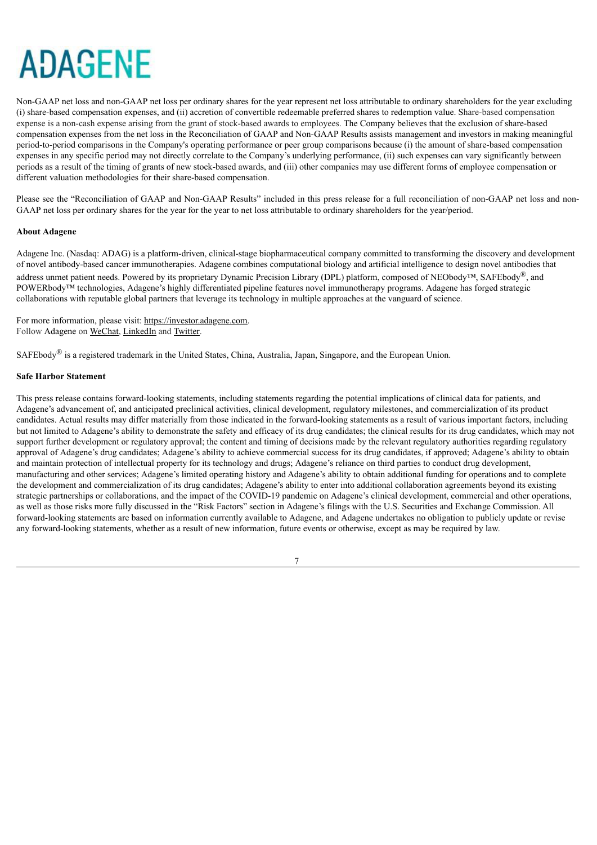Non-GAAP net loss and non-GAAP net loss per ordinary shares for the year represent net loss attributable to ordinary shareholders for the year excluding (i) share-based compensation expenses, and (ii) accretion of convertible redeemable preferred shares to redemption value. Share-based compensation expense is a non-cash expense arising from the grant of stock-based awards to employees. The Company believes that the exclusion of share-based compensation expenses from the net loss in the Reconciliation of GAAP and Non-GAAP Results assists management and investors in making meaningful period-to-period comparisons in the Company's operating performance or peer group comparisons because (i) the amount of share-based compensation expenses in any specific period may not directly correlate to the Company's underlying performance, (ii) such expenses can vary significantly between periods as a result of the timing of grants of new stock-based awards, and (iii) other companies may use different forms of employee compensation or different valuation methodologies for their share-based compensation.

Please see the "Reconciliation of GAAP and Non-GAAP Results" included in this press release for a full reconciliation of non-GAAP net loss and non-GAAP net loss per ordinary shares for the year for the year to net loss attributable to ordinary shareholders for the year/period.

#### **About Adagene**

Adagene Inc. (Nasdaq: ADAG) is a platform-driven, clinical-stage biopharmaceutical company committed to transforming the discovery and development of novel antibody-based cancer immunotherapies. Adagene combines computational biology and artificial intelligence to design novel antibodies that address unmet patient needs. Powered by its proprietary Dynamic Precision Library (DPL) platform, composed of NEObody<sup>TM</sup>, SAFEbody<sup>®</sup>, and POWERbody™ technologies, Adagene's highly differentiated pipeline features novel immunotherapy programs. Adagene has forged strategic collaborations with reputable global partners that leverage its technology in multiple approaches at the vanguard of science.

For more information, please visit: https://investor.adagene.com. Follow Adagene on WeChat, LinkedIn and Twitter.

SAFEbody® is a registered trademark in the United States, China, Australia, Japan, Singapore, and the European Union.

#### **Safe Harbor Statement**

This press release contains forward-looking statements, including statements regarding the potential implications of clinical data for patients, and Adagene's advancement of, and anticipated preclinical activities, clinical development, regulatory milestones, and commercialization of its product candidates. Actual results may differ materially from those indicated in the forward-looking statements as a result of various important factors, including but not limited to Adagene's ability to demonstrate the safety and efficacy of its drug candidates; the clinical results for its drug candidates, which may not support further development or regulatory approval; the content and timing of decisions made by the relevant regulatory authorities regarding regulatory approval of Adagene's drug candidates; Adagene's ability to achieve commercial success for its drug candidates, if approved; Adagene's ability to obtain and maintain protection of intellectual property for its technology and drugs; Adagene's reliance on third parties to conduct drug development, manufacturing and other services; Adagene's limited operating history and Adagene's ability to obtain additional funding for operations and to complete the development and commercialization of its drug candidates; Adagene's ability to enter into additional collaboration agreements beyond its existing strategic partnerships or collaborations, and the impact of the COVID-19 pandemic on Adagene's clinical development, commercial and other operations, as well as those risks more fully discussed in the "Risk Factors" section in Adagene's filings with the U.S. Securities and Exchange Commission. All forward-looking statements are based on information currently available to Adagene, and Adagene undertakes no obligation to publicly update or revise any forward-looking statements, whether as a result of new information, future events or otherwise, except as may be required by law.

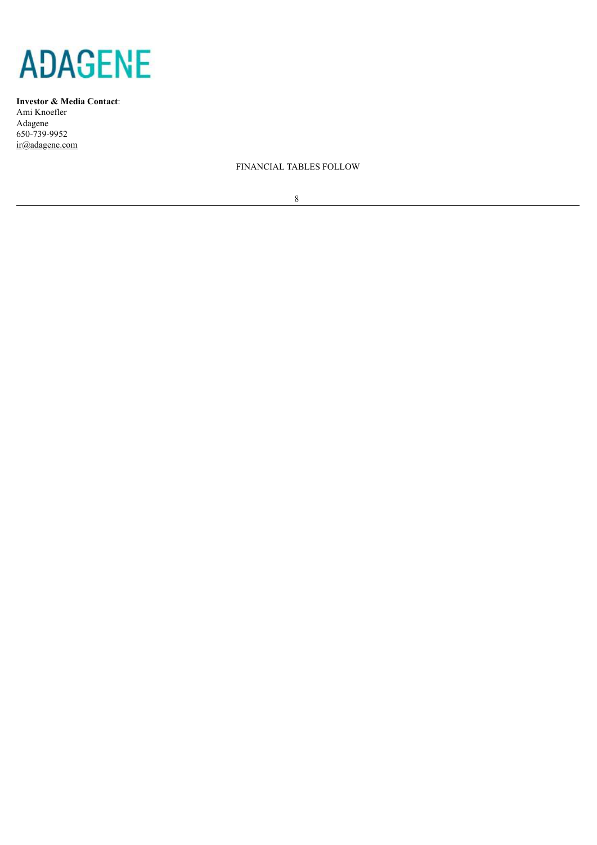

**Investor & Media Contact**: Ami Knoefler Adagene 650-739-9952 ir@adagene.com

FINANCIAL TABLES FOLLOW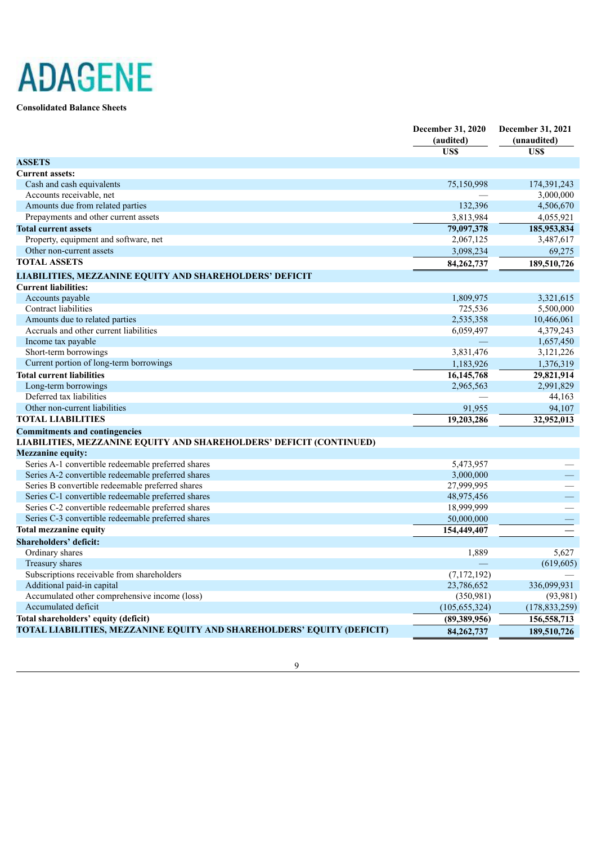**Consolidated Balance Sheets**

|                                                                        | December 31, 2020 | December 31, 2021 |
|------------------------------------------------------------------------|-------------------|-------------------|
|                                                                        | (audited)         | (unaudited)       |
|                                                                        | US\$              | US\$              |
| <b>ASSETS</b>                                                          |                   |                   |
| <b>Current assets:</b>                                                 |                   |                   |
| Cash and cash equivalents                                              | 75,150,998        | 174,391,243       |
| Accounts receivable, net                                               |                   | 3,000,000         |
| Amounts due from related parties                                       | 132,396           | 4,506,670         |
| Prepayments and other current assets                                   | 3,813,984         | 4,055,921         |
| <b>Total current assets</b>                                            | 79,097,378        | 185,953,834       |
| Property, equipment and software, net                                  | 2,067,125         | 3,487,617         |
| Other non-current assets                                               | 3,098,234         | 69,275            |
| <b>TOTAL ASSETS</b>                                                    | 84, 262, 737      | 189,510,726       |
| <b>LIABILITIES, MEZZANINE EQUITY AND SHAREHOLDERS' DEFICIT</b>         |                   |                   |
| <b>Current liabilities:</b>                                            |                   |                   |
| Accounts payable                                                       | 1,809,975         | 3,321,615         |
| Contract liabilities                                                   | 725,536           | 5,500,000         |
| Amounts due to related parties                                         | 2,535,358         | 10,466,061        |
| Accruals and other current liabilities                                 | 6,059,497         | 4,379,243         |
| Income tax payable                                                     |                   | 1,657,450         |
| Short-term borrowings                                                  | 3,831,476         | 3,121,226         |
| Current portion of long-term borrowings                                | 1,183,926         | 1,376,319         |
| <b>Total current liabilities</b>                                       | 16, 145, 768      | 29,821,914        |
| Long-term borrowings                                                   | 2,965,563         | 2,991,829         |
| Deferred tax liabilities                                               |                   | 44,163            |
| Other non-current liabilities                                          | 91,955            | 94,107            |
| <b>TOTAL LIABILITIES</b>                                               | 19,203,286        | 32,952,013        |
| <b>Commitments and contingencies</b>                                   |                   |                   |
| LIABILITIES, MEZZANINE EQUITY AND SHAREHOLDERS' DEFICIT (CONTINUED)    |                   |                   |
| <b>Mezzanine equity:</b>                                               |                   |                   |
| Series A-1 convertible redeemable preferred shares                     | 5,473,957         |                   |
| Series A-2 convertible redeemable preferred shares                     | 3,000,000         |                   |
| Series B convertible redeemable preferred shares                       | 27,999,995        |                   |
| Series C-1 convertible redeemable preferred shares                     | 48,975,456        |                   |
| Series C-2 convertible redeemable preferred shares                     | 18,999,999        |                   |
| Series C-3 convertible redeemable preferred shares                     | 50,000,000        |                   |
| <b>Total mezzanine equity</b>                                          | 154,449,407       |                   |
| <b>Shareholders' deficit:</b>                                          |                   |                   |
| Ordinary shares                                                        | 1,889             | 5,627             |
| Treasury shares                                                        |                   | (619, 605)        |
| Subscriptions receivable from shareholders                             | (7, 172, 192)     |                   |
| Additional paid-in capital                                             | 23,786,652        | 336,099,931       |
| Accumulated other comprehensive income (loss)                          | (350, 981)        | (93, 981)         |
| Accumulated deficit                                                    | (105, 655, 324)   | (178, 833, 259)   |
| Total shareholders' equity (deficit)                                   | (89,389,956)      | 156,558,713       |
| TOTAL LIABILITIES, MEZZANINE EQUITY AND SHAREHOLDERS' EQUITY (DEFICIT) | 84,262,737        | 189,510,726       |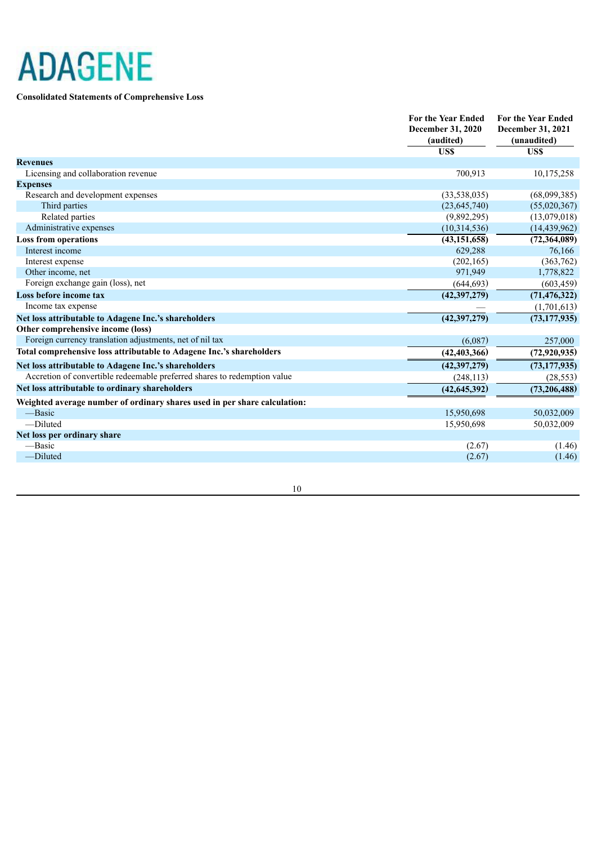### **Consolidated Statements of Comprehensive Loss**

|                                                                           | <b>For the Year Ended</b><br><b>December 31, 2020</b><br>(audited)<br>US\$ | <b>For the Year Ended</b><br>December 31, 2021<br>(unaudited)<br>US\$ |
|---------------------------------------------------------------------------|----------------------------------------------------------------------------|-----------------------------------------------------------------------|
| <b>Revenues</b>                                                           |                                                                            |                                                                       |
| Licensing and collaboration revenue                                       | 700,913                                                                    | 10,175,258                                                            |
| <b>Expenses</b>                                                           |                                                                            |                                                                       |
| Research and development expenses                                         | (33,538,035)                                                               | (68,099,385)                                                          |
| Third parties                                                             | (23, 645, 740)                                                             | (55,020,367)                                                          |
| Related parties                                                           | (9,892,295)                                                                | (13,079,018)                                                          |
| Administrative expenses                                                   | (10,314,536)                                                               | (14, 439, 962)                                                        |
| <b>Loss from operations</b>                                               | (43, 151, 658)                                                             | (72, 364, 089)                                                        |
| Interest income                                                           | 629,288                                                                    | 76,166                                                                |
| Interest expense                                                          | (202, 165)                                                                 | (363, 762)                                                            |
| Other income, net                                                         | 971,949                                                                    | 1,778,822                                                             |
| Foreign exchange gain (loss), net                                         | (644, 693)                                                                 | (603, 459)                                                            |
| Loss before income tax                                                    | (42, 397, 279)                                                             | (71, 476, 322)                                                        |
| Income tax expense                                                        |                                                                            | (1,701,613)                                                           |
| Net loss attributable to Adagene Inc.'s shareholders                      | (42, 397, 279)                                                             | (73, 177, 935)                                                        |
| Other comprehensive income (loss)                                         |                                                                            |                                                                       |
| Foreign currency translation adjustments, net of nil tax                  | (6,087)                                                                    | 257,000                                                               |
| Total comprehensive loss attributable to Adagene Inc.'s shareholders      | (42, 403, 366)                                                             | (72, 920, 935)                                                        |
| Net loss attributable to Adagene Inc.'s shareholders                      | (42, 397, 279)                                                             | (73, 177, 935)                                                        |
| Accretion of convertible redeemable preferred shares to redemption value  | (248, 113)                                                                 | (28, 553)                                                             |
| Net loss attributable to ordinary shareholders                            | (42, 645, 392)                                                             | (73, 206, 488)                                                        |
| Weighted average number of ordinary shares used in per share calculation: |                                                                            |                                                                       |
| -Basic                                                                    | 15,950,698                                                                 | 50,032,009                                                            |
| -Diluted                                                                  | 15,950,698                                                                 | 50,032,009                                                            |
| Net loss per ordinary share                                               |                                                                            |                                                                       |
| -Basic                                                                    | (2.67)                                                                     | (1.46)                                                                |
| -Diluted                                                                  | (2.67)                                                                     | (1.46)                                                                |
|                                                                           |                                                                            |                                                                       |